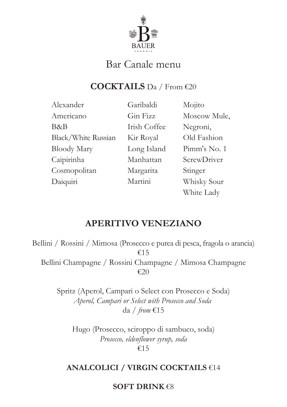

# Bar Canale menu

## **COCKTAILS** Da / From €20

Alexander Americano B&B Black/White Russian Bloody Mary Caipirinha Cosmopolitan Daiquiri

Garibaldi Gin Fizz Irish Coffee Kir Royal Long Island Manhattan Margarita Martini

Mojito Moscow Mule, Negroni, Old Fashion Pimm's No. 1 ScrewDriver Stinger Whisky Sour White Lady

## **APERITIVO VENEZIANO**

Bellini / Rossini / Mimosa (Prosecco e purea di pesca, fragola o arancia) €15 Bellini Champagne / Rossini Champagne / Mimosa Champagne €20

> Spritz (Aperol, Campari o Select con Prosecco e Soda) *Aperol, Campari or Select with Prosecco and Soda*  da / *from* €15

Hugo (Prosecco, sciroppo di sambuco, soda) *Prosecco, eldenflower syrup, soda* €15

### **ANALCOLICI / VIRGIN COCKTAILS** €14

#### **SOFT DRINK** €8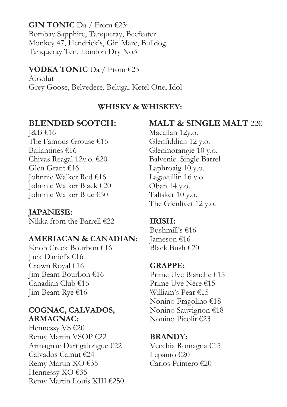**GIN TONIC** Da / From €23: Bombay Sapphire, Tanqueray, Beefeater Monkey 47, Hendrick's, Gin Mare, Bulldog Tanqueray Ten, London Dry No3

#### **VODKA TONIC** Da / From €23

Absolut Grey Goose, Belvedere, Beluga, Ketel One, Idol

#### **WHISKY & WHISKEY:**

## **BLENDED SCOTCH:**

J&B €16 The Famous Grouse €16 Ballantines €16 Chivas Reagal 12y.o. €20 Glen Grant €16 Johnnie Walker Red €16 Johnnie Walker Black €20 Johnnie Walker Blue €50

**JAPANESE:** Nikka from the Barrell €22

#### **AMERIACAN & CANADIAN:**

Knob Creek Bourbon €16 Jack Daniel's €16 Crown Royal €16 Jim Beam Bourbon €16 Canadian Club €16 Jim Beam Rye €16

#### **COGNAC, CALVADOS, ARMAGNAC:**

Hennessy VS €20 Remy Martin VSOP €22 Armagnac Dartigalongue €22 Calvados Camut €24 Remy Martin XO €35 Hennessy XO €35 Remy Martin Louis XIII €250

## **MALT & SINGLE MALT** 22€

 Macallan 12y.o. Glenfiddich 12 y.o. Glenmorangie 10 y.o. Balvenie Single Barrel Laphroaig 10 y.o. Lagavullin 16 y.o. Oban 14 y.o. The Glenlivet 12 y.o. Talisker 10 y.o.

#### **IRISH:**

Bushmill's  $€16$ Jameson €16 Black Bush €20

### **GRAPPE:**

Prime Uve Bianche €15 Prime Uve Nere €15 William's Pear €15 Nonino Fragolino €18 Nonino Sauvignon €18 Nonino Picolit €23

#### **BRANDY:**

Vecchia Romagna €15 Lepanto  $€20$ Carlos Primero €20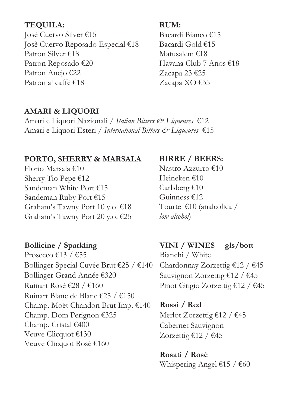### **TEQUILA:**

Josè Cuervo Silver €15 Josè Cuervo Reposado Especial €18 Patron Silver €18 Patron Reposado €20 Patron Anejo €22 Patron al caffè €18

#### **RUM:**

Bacardi Bianco €15 Bacardi Gold €15 Matusalem €18 Havana Club 7 Anos €18 Zacapa 23 €25 Zacapa XO €35

### **AMARI & LIQUORI**

Amari e Liquori Nazionali / *Italian Bitters & Liqueures* €12 Amari e Liquori Esteri / *International Bitters & Liqueures* €15

### **PORTO, SHERRY & MARSALA**

Florio Marsala €10 Sherry Tio Pepe €12 Sandeman White Port €15 Sandeman Ruby Port €15 Graham's Tawny Port 10 y.o. €18 Graham's Tawny Port 20 y.o. €25

## **Bollicine / Sparkling**

Prosecco €13 / €55 Bollinger Special Cuvée Brut €25 / €140 Bollinger Grand Année €320 Ruinart Rosè €28 / €160 Ruinart Blanc de Blanc €25 / €150 Champ. Moët Chandon Brut Imp. €140 Champ. Dom Perignon €325 Champ. Cristal €400 Veuve Clicquot €130 Veuve Clicquot Rosè €160

## **BIRRE / BEERS:**

Nastro Azzurro €10 Heineken €10 Carlsberg  $\epsilon$ 10 Guinness €12 Tourtel €10 (analcolica / *low alcohol*)

**VINI / WINES gls/bott** Bianchi / White Chardonnay Zorzettig €12 / €45 Sauvignon Zorzettig €12 / €45 Pinot Grigio Zorzettig €12 / €45

**Rossi / Red** Merlot Zorzettig €12 / €45 Cabernet Sauvignon Zorzettig €12 / €45

**Rosati / Rosè** Whispering Angel €15 / €60